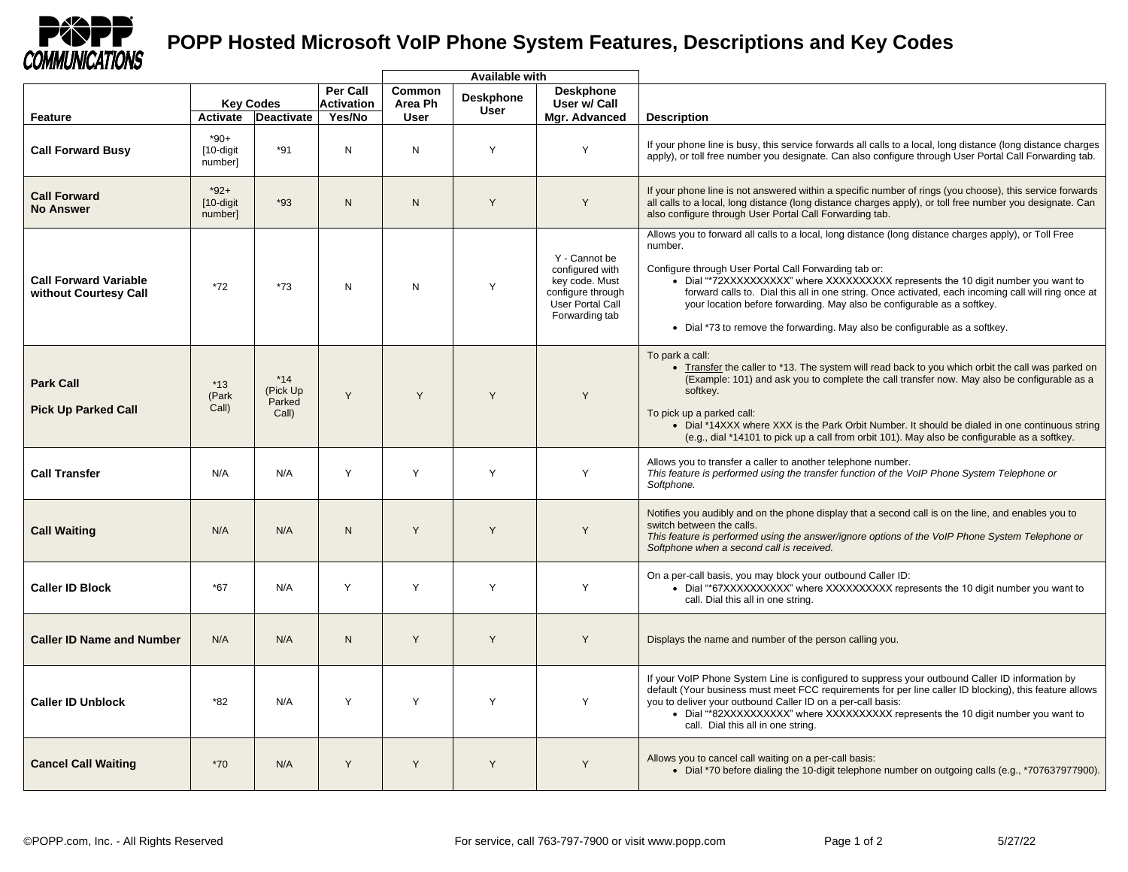

## **POPP Hosted Microsoft VoIP Phone System Features, Descriptions and Key Codes**

|                                                       |                                   |                                      |                                      | <b>Available with</b> |                                 |                                                                                                               |                                                                                                                                                                                                                                                                                                                                                                                                                                                                                                                                  |
|-------------------------------------------------------|-----------------------------------|--------------------------------------|--------------------------------------|-----------------------|---------------------------------|---------------------------------------------------------------------------------------------------------------|----------------------------------------------------------------------------------------------------------------------------------------------------------------------------------------------------------------------------------------------------------------------------------------------------------------------------------------------------------------------------------------------------------------------------------------------------------------------------------------------------------------------------------|
|                                                       | <b>Key Codes</b>                  |                                      | <b>Per Call</b><br><b>Activation</b> | Common<br>Area Ph     | <b>Deskphone</b><br><b>User</b> | <b>Deskphone</b><br>User w/ Call                                                                              |                                                                                                                                                                                                                                                                                                                                                                                                                                                                                                                                  |
| Feature                                               | Activate                          | <b>Deactivate</b>                    | Yes/No                               | User                  |                                 | Mgr. Advanced                                                                                                 | <b>Description</b>                                                                                                                                                                                                                                                                                                                                                                                                                                                                                                               |
| <b>Call Forward Busy</b>                              | $*90+$<br>[10-digit<br>number]    | $*91$                                | N                                    | N                     | Y                               | Y                                                                                                             | If your phone line is busy, this service forwards all calls to a local, long distance (long distance charges<br>apply), or toll free number you designate. Can also configure through User Portal Call Forwarding tab.                                                                                                                                                                                                                                                                                                           |
| <b>Call Forward</b><br><b>No Answer</b>               | $*92+$<br>$[10-digit]$<br>number] | $*93$                                | N                                    | N                     | Y                               | Y                                                                                                             | If your phone line is not answered within a specific number of rings (you choose), this service forwards<br>all calls to a local, long distance (long distance charges apply), or toll free number you designate. Can<br>also configure through User Portal Call Forwarding tab.                                                                                                                                                                                                                                                 |
| <b>Call Forward Variable</b><br>without Courtesy Call | $*72$                             | $*73$                                | N                                    | $\mathsf{N}$          | Y                               | Y - Cannot be<br>configured with<br>key code. Must<br>configure through<br>User Portal Call<br>Forwarding tab | Allows you to forward all calls to a local, long distance (long distance charges apply), or Toll Free<br>number.<br>Configure through User Portal Call Forwarding tab or:<br>• Dial "*72XXXXXXXXXX" where XXXXXXXXXX represents the 10 digit number you want to<br>forward calls to. Dial this all in one string. Once activated, each incoming call will ring once at<br>your location before forwarding. May also be configurable as a softkey.<br>• Dial *73 to remove the forwarding. May also be configurable as a softkey. |
| <b>Park Call</b><br><b>Pick Up Parked Call</b>        | $*13$<br>(Park<br>Call)           | $*14$<br>(Pick Up<br>Parked<br>Call) | Y                                    | Y                     | Y                               | Y                                                                                                             | To park a call:<br>• Transfer the caller to *13. The system will read back to you which orbit the call was parked on<br>(Example: 101) and ask you to complete the call transfer now. May also be configurable as a<br>softkey.<br>To pick up a parked call:<br>• Dial *14XXX where XXX is the Park Orbit Number. It should be dialed in one continuous string<br>(e.g., dial *14101 to pick up a call from orbit 101). May also be configurable as a softkey.                                                                   |
| <b>Call Transfer</b>                                  | N/A                               | N/A                                  | Y                                    | Y                     | Y                               | Y                                                                                                             | Allows you to transfer a caller to another telephone number.<br>This feature is performed using the transfer function of the VoIP Phone System Telephone or<br>Softphone.                                                                                                                                                                                                                                                                                                                                                        |
| <b>Call Waiting</b>                                   | N/A                               | N/A                                  | $\mathsf{N}$                         | Y                     | Y                               | Y                                                                                                             | Notifies you audibly and on the phone display that a second call is on the line, and enables you to<br>switch between the calls.<br>This feature is performed using the answer/ignore options of the VoIP Phone System Telephone or<br>Softphone when a second call is received.                                                                                                                                                                                                                                                 |
| <b>Caller ID Block</b>                                | $*67$                             | N/A                                  | Y                                    | Y                     | Y                               | Y                                                                                                             | On a per-call basis, you may block your outbound Caller ID:<br>• Dial "*67XXXXXXXXXX" where XXXXXXXXXX represents the 10 digit number you want to<br>call. Dial this all in one string.                                                                                                                                                                                                                                                                                                                                          |
| <b>Caller ID Name and Number</b>                      | N/A                               | N/A                                  | N                                    | Y                     | Y                               | Y                                                                                                             | Displays the name and number of the person calling you.                                                                                                                                                                                                                                                                                                                                                                                                                                                                          |
| <b>Caller ID Unblock</b>                              | *82                               | N/A                                  | Y                                    | Y                     | Y                               | Y                                                                                                             | If your VoIP Phone System Line is configured to suppress your outbound Caller ID information by<br>default (Your business must meet FCC requirements for per line caller ID blocking), this feature allows<br>you to deliver your outbound Caller ID on a per-call basis:<br>• Dial "*82XXXXXXXXXX" where XXXXXXXXXX represents the 10 digit number you want to<br>call. Dial this all in one string.                                                                                                                            |
| <b>Cancel Call Waiting</b>                            | $*70$                             | N/A                                  | Y                                    | Y                     | Y                               | Y                                                                                                             | Allows you to cancel call waiting on a per-call basis:<br>• Dial *70 before dialing the 10-digit telephone number on outgoing calls (e.g., *707637977900).                                                                                                                                                                                                                                                                                                                                                                       |